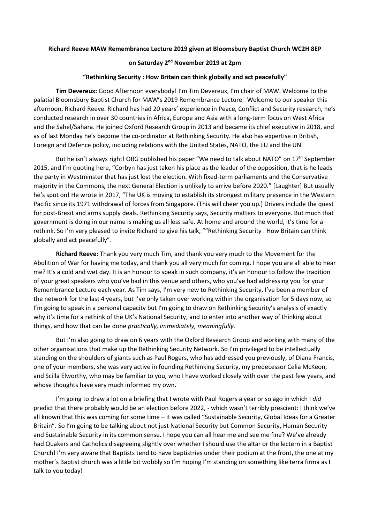## **Richard Reeve MAW Remembrance Lecture 2019 given at Bloomsbury Baptist Church WC2H 8EP**

## **on Saturday 2nd November 2019 at 2pm**

## **"Rethinking Security : How Britain can think globally and act peacefully"**

**Tim Devereux:** Good Afternoon everybody! I'm Tim Devereux, I'm chair of MAW. Welcome to the palatial Bloomsbury Baptist Church for MAW's 2019 Remembrance Lecture. Welcome to our speaker this afternoon, Richard Reeve. Richard has had 20 years' experience in Peace, Conflict and Security research, he's conducted research in over 30 countries in Africa, Europe and Asia with a long-term focus on West Africa and the Sahel/Sahara. He joined Oxford Research Group in 2013 and became its chief executive in 2018, and as of last Monday he's become the co-ordinator at Rethinking Security. He also has expertise in British, Foreign and Defence policy, including relations with the United States, NATO, the EU and the UN.

But he isn't always right! ORG published his paper "We need to talk about NATO" on 17<sup>th</sup> September 2015, and I'm quoting here, "Corbyn has just taken his place as the leader of the opposition, that is he leads the party in Westminster that has just lost the election. With fixed-term parliaments and the Conservative majority in the Commons, the next General Election is unlikely to arrive before 2020." [Laughter] But usually he's spot on! He wrote in 2017, "The UK is moving to establish its strongest military presence in the Western Pacific since its 1971 withdrawal of forces from Singapore. (This will cheer you up.) Drivers include the quest for post-Brexit and arms supply deals. Rethinking Security says, Security matters to everyone. But much that government is doing in our name is making us all less safe. At home and around the world, it's time for a rethink. So I'm very pleased to invite Richard to give his talk, ""Rethinking Security : How Britain can think globally and act peacefully".

**Richard Reeve:** Thank you very much Tim, and thank you very much to the Movement for the Abolition of War for having me today, and thank you all very much for coming. I hope you are all able to hear me? It's a cold and wet day. It is an honour to speak in such company, it's an honour to follow the tradition of your great speakers who you've had in this venue and others, who you've had addressing you for your Remembrance Lecture each year. As Tim says, I'm very new to Rethinking Security, I've been a member of the network for the last 4 years, but I've only taken over working within the organisation for 5 days now, so I'm going to speak in a personal capacity but I'm going to draw on Rethinking Security's analysis of exactly why it's time for a rethink of the UK's National Security, and to enter into another way of thinking about things, and how that can be done *practically, immediately, meaningfully.*

But I'm also going to draw on 6 years with the Oxford Research Group and working with many of the other organisations that make up the Rethinking Security Network. So I'm privileged to be intellectually standing on the shoulders of giants such as Paul Rogers, who has addressed you previously, of Diana Francis, one of your members, she was very active in founding Rethinking Security, my predecessor Celia McKeon, and Scilla Elworthy, who may be familiar to you, who I have worked closely with over the past few years, and whose thoughts have very much informed my own.

I'm going to draw a lot on a briefing that I wrote with Paul Rogers a year or so ago in which I *did* predict that there probably would be an election before 2022, - which wasn't terribly prescient: I think we've all known that this was coming for some time – it was called "Sustainable Security, Global Ideas for a Greater Britain". So I'm going to be talking about not just National Security but Common Security, Human Security and Sustainable Security in its common sense. I hope you can all hear me and see me fine? We've already had Quakers and Catholics disagreeing slightly over whether I should use the altar or the lectern in a Baptist Church! I'm very aware that Baptists tend to have baptistries under their podium at the front, the one at my mother's Baptist church was a little bit wobbly so I'm hoping I'm standing on something like terra firma as I talk to you today!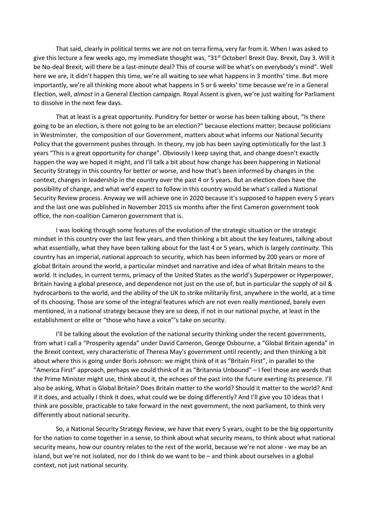That said, clearly in political terms we are not on terra firma, very far from it. When I was asked to give this lecture a few weeks ago, my immediate thought was, "31<sup>st</sup> October! Brexit Day. Brexit, Day 3. Will it be No-deal Brexit, will there be a last-minute deal? This of course will be what's on everybody's mind". Well here we are, it didn't happen this time, we're all waiting to see what happens in 3 months' time. But more importantly, we're all thinking more about what happens in 5 or 6 weeks' time because we're in a General Election, well, *almost* in a General Election campaign. Royal Assent is given, we're just waiting for Parliament to dissolve in the next few days.

That at least is a great opportunity. Punditry for better or worse has been talking about, "Is there going to be an election, is there not going to be an election?" because elections matter; because politicians in Westminster, the composition of our Government, matters about what informs our National Security Policy that the government pushes through. In theory, my job has been saying optimistically for the last 3 years "This is a great opportunity for change". Obviously I keep saying that, and change doesn't exactly happen the way we hoped it might, and I'll talk a bit about how change has been happening in National Security Strategy in this country for better or worse, and how that's been informed by changes in the context, changes in leadership in the country over the past 4 or 5 years. But an election does have the possibility of change, and what we'd expect to follow in this country would be what's called a National Security Review process. Anyway we will achieve one in 2020 because it's supposed to happen every 5 years and the last one was published in November 2015 six months after the first Cameron government took office, the non-coalition Cameron government that is.

I was looking through some features of the evolution of the strategic situation or the strategic mindset in this country over the last few years, and then thinking a bit about the key features, talking about what essentially, what they have been talking about for the last 4 or 5 years, which is largely *continuity.* This country has an imperial, national approach to security, which has been informed by 200 years or more of global Britain around the world, a particular mindset and narrative and idea of what Britain means to the world. It includes, in current terms, primacy of the United States as the world's Superpower or Hyperpower, Britain having a global presence, and dependence not just on the use of, but in particular the supply of oil & hydrocarbons to the world, and the ability of the UK to strike militarily first, anywhere in the world, at a time of its choosing. Those are some of the integral features which are not even really mentioned, barely even mentioned, in a national strategy because they are so deep, if not in our national psyche, at least in the establishment or elite or "those who have a voice"'s take on security.

I'll be talking about the evolution of the national security thinking under the recent governments, from what I call a "Prosperity agenda" under David Cameron, George Osbourne, a "Global Britain agenda" in the Brexit context, very characteristic of Theresa May's government until recently; and then thinking a bit about where this is going under Boris Johnson: we might think of it as "Britain First", in parallel to the "America First" approach, perhaps we could think of it as "Britannia Unbound" – I feel those are words that the Prime Minister might use, think about it, the echoes of the past into the future exerting its presence. I'll also be asking, What is Global Britain? Does Britain matter to the world? Should it matter to the world? And if it does, and actually I think it does, what could we be doing differently? And I'll give you 10 ideas that I think are possible, practicable to take forward in the next government, the next parliament, to think very differently about national security.

So, a National Security Strategy Review, we have that every 5 years, ought to be the big opportunity for the nation to come together in a sense, to think about what security means, to think about what national security means, how our country relates to the rest of the world, because we're not alone - we may be an island, but we're not isolated, nor do I think do we want to be – and think about ourselves in a global context, not just national security.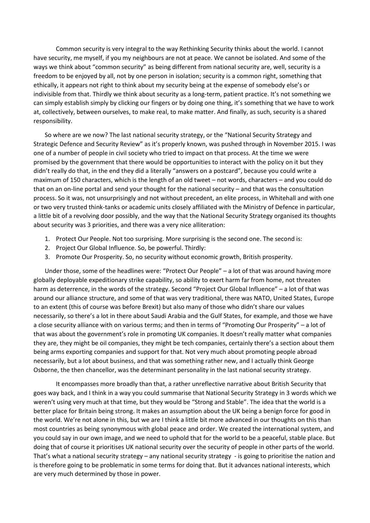Common security is very integral to the way Rethinking Security thinks about the world. I cannot have security, me myself, if you my neighbours are not at peace. We cannot be isolated. And some of the ways we think about "common security" as being different from national security are, well, security is a freedom to be enjoyed by all, not by one person in isolation; security is a common right, something that ethically, it appears not right to think about my security being at the expense of somebody else's or indivisible from that. Thirdly we think about security as a long-term, patient practice. It's not something we can simply establish simply by clicking our fingers or by doing one thing, it's something that we have to work at, collectively, between ourselves, to make real, to make matter. And finally, as such, security is a shared responsibility.

So where are we now? The last national security strategy, or the "National Security Strategy and Strategic Defence and Security Review" as it's properly known, was pushed through in November 2015. I was one of a number of people in civil society who tried to impact on that process. At the time we were promised by the government that there would be opportunities to interact with the policy on it but they didn't really do that, in the end they did a literally "answers on a postcard", because you could write a maximum of 150 characters, which is the length of an old tweet – not words, characters – and you could do that on an on-line portal and send your thought for the national security – and that was the consultation process. So it was, not unsurprisingly and not without precedent, an elite process, in Whitehall and with one or two very trusted think-tanks or academic units closely affiliated with the Ministry of Defence in particular, a little bit of a revolving door possibly, and the way that the National Security Strategy organised its thoughts about security was 3 priorities, and there was a very nice alliteration:

- 1. Protect Our People. Not too surprising. More surprising is the second one. The second is:
- 2. Project Our Global Influence. So, be powerful. Thirdly:
- 3. Promote Our Prosperity. So, no security without economic growth, British prosperity.

Under those, some of the headlines were: "Protect Our People" – a lot of that was around having more globally deployable expeditionary strike capability, so ability to exert harm far from home, not threaten harm as deterrence, in the words of the strategy. Second "Project Our Global Influence" – a lot of that was around our alliance structure, and some of that was very traditional, there was NATO, United States, Europe to an extent (this of course was before Brexit) but also many of those who didn't share our values necessarily, so there's a lot in there about Saudi Arabia and the Gulf States, for example, and those we have a close security alliance with on various terms; and then in terms of "Promoting Our Prosperity" – a lot of that was about the government's role in promoting UK companies. It doesn't really matter what companies they are, they might be oil companies, they might be tech companies, certainly there's a section about them being arms exporting companies and support for that. Not very much about promoting people abroad necessarily, but a lot about business, and that was something rather new, and I actually think George Osborne, the then chancellor, was the determinant personality in the last national security strategy.

It encompasses more broadly than that, a rather unreflective narrative about British Security that goes way back, and I think in a way you could summarise that National Security Strategy in 3 words which we weren't using very much at that time, but they would be "Strong and Stable". The idea that the world is a better place for Britain being strong. It makes an assumption about the UK being a benign force for good in the world. We're not alone in this, but we are I think a little bit more advanced in our thoughts on this than most countries as being synonymous with global peace and order. We created the international system, and you could say in our own image, and we need to uphold that for the world to be a peaceful, stable place. But doing that of course it prioritises UK national security over the security of people in other parts of the world. That's what a national security strategy – any national security strategy - is going to prioritise the nation and is therefore going to be problematic in some terms for doing that. But it advances national interests, which are very much determined by those in power.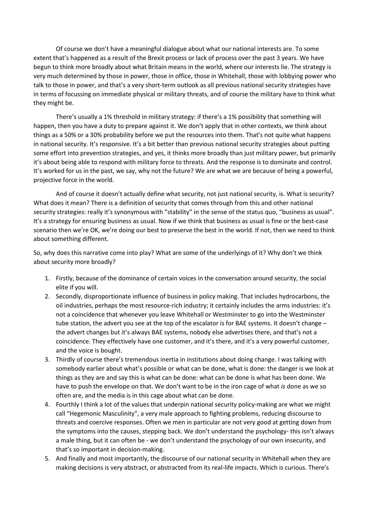Of course we don't have a meaningful dialogue about what our national interests are. To some extent that's happened as a result of the Brexit process or lack of process over the past 3 years. We have begun to think more broadly about what Britain means in the world, where our interests lie. The strategy is very much determined by those in power, those in office, those in Whitehall, those with lobbying power who talk to those in power, and that's a very short-term outlook as all previous national security strategies have in terms of focussing on immediate physical or military threats, and of course the military have to think what they might be.

There's usually a 1% threshold in military strategy: if there's a 1% possibility that something will happen, then you have a duty to prepare against it. We don't apply that in other contexts, we think about things as a 50% or a 30% probability before we put the resources into them. That's not quite what happens in national security. It's responsive. It's a bit better than previous national security strategies about putting some effort into prevention strategies, and yes, it thinks more broadly than just military power, but primarily it's about being able to respond with military force to threats. And the response is to dominate and control. It's worked for us in the past, we say, why not the future? We are what we are because of being a powerful, projective force in the world.

And of course it doesn't actually define what security, not just national security, is. What is security? What does it mean? There is a definition of security that comes through from this and other national security strategies: really it's synonymous with "stability" in the sense of the status quo, "business as usual". It's a strategy for ensuring business as usual. Now if we think that business as usual is fine or the best-case scenario then we're OK, we're doing our best to preserve the best in the world. If not, then we need to think about something different.

So, why does this narrative come into play? What are some of the underlyings of it? Why don't we think about security more broadly?

- 1. Firstly, because of the dominance of certain voices in the conversation around security, the social elite if you will.
- 2. Secondly, disproportionate influence of business in policy making. That includes hydrocarbons, the oil industries, perhaps the most resource-rich industry; it certainly includes the arms industries: it's not a coincidence that whenever you leave Whitehall or Westminster to go into the Westminster tube station, the advert you see at the top of the escalator is for BAE systems. It doesn't change – the advert changes but it's always BAE systems, nobody else advertises there, and that's not a coincidence. They effectively have one customer, and it's there, and it's a very powerful customer, and the voice is bought.
- 3. Thirdly of course there's tremendous inertia in institutions about doing change. I was talking with somebody earlier about what's possible or what can be done, what is done: the danger is we look at things as they are and say this is what can be done: what can be done is what has been done. We have to push the envelope on that. We don't want to be in the iron cage of what *is* done as we so often are, and the media is in this cage about what can be done.
- 4. Fourthly I think a lot of the values that underpin national security policy-making are what we might call "Hegemonic Masculinity", a very male approach to fighting problems, reducing discourse to threats and coercive responses. Often we men in particular are not very good at getting down from the symptoms into the causes, stepping back. We don't understand the psychology- this isn't always a male thing, but it can often be - we don't understand the psychology of our own insecurity, and that's so important in decision-making.
- 5. And finally and most importantly, the discourse of our national security in Whitehall when they are making decisions is very abstract, or abstracted from its real-life impacts. Which is curious. There's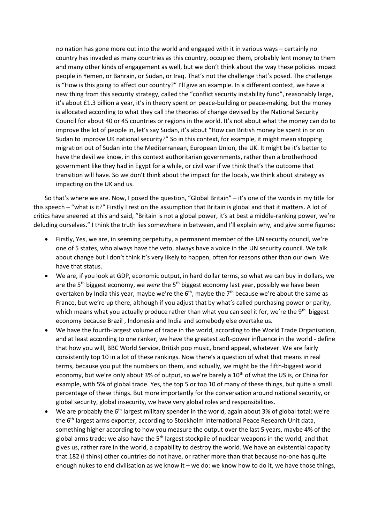no nation has gone more out into the world and engaged with it in various ways – certainly no country has invaded as many countries as this country, occupied them, probably lent money to them and many other kinds of engagement as well, but we don't think about the way these policies impact people in Yemen, or Bahrain, or Sudan, or Iraq. That's not the challenge that's posed. The challenge is "How is this going to affect our country?" I'll give an example. In a different context, we have a new thing from this security strategy, called the "conflict security instability fund", reasonably large, it's about £1.3 billion a year, it's in theory spent on peace-building or peace-making, but the money is allocated according to what they call the theories of change devised by the National Security Council for about 40 or 45 countries or regions in the world. It's not about what the money can do to improve the lot of people in, let's say Sudan, it's about "How can British money be spent in or on Sudan to improve UK national security?" So in this context, for example, it might mean stopping migration out of Sudan into the Mediterranean, European Union, the UK. It might be it's better to have the devil we know, in this context authoritarian governments, rather than a brotherhood government like they had in Egypt for a while, or civil war if we think that's the outcome that transition will have. So we don't think about the impact for the locals, we think about strategy as impacting on the UK and us.

So that's where we are. Now, I posed the question, "Global Britain" – it's one of the words in my title for this speech – "what is it?" Firstly I rest on the assumption that Britain is global and that it matters. A lot of critics have sneered at this and said, "Britain is not a global power, it's at best a middle-ranking power, we're deluding ourselves." I think the truth lies somewhere in between, and I'll explain why, and give some figures:

- Firstly, Yes, we are, in seeming perpetuity, a permanent member of the UN security council, we're one of 5 states, who always have the veto, always have a voice in the UN security council. We talk about change but I don't think it's very likely to happen, often for reasons other than our own. We have that status.
- We are, if you look at GDP, economic output, in hard dollar terms, so what we can buy in dollars, we are the 5<sup>th</sup> biggest economy, we *were* the 5<sup>th</sup> biggest economy last year, possibly we have been overtaken by India this year, maybe we're the  $6<sup>th</sup>$ , maybe the  $7<sup>th</sup>$  because we're about the same as France, but we're up there, although if you adjust that by what's called purchasing power or parity, which means what you actually produce rather than what you can seel it for, we're the 9<sup>th</sup> biggest economy because Brazil , Indonesia and India and somebody else overtake us.
- We have the fourth-largest volume of trade in the world, according to the World Trade Organisation, and at least according to one ranker, we have the greatest soft-power influence in the world - define that how you will, BBC World Service, British pop music, brand appeal, whatever. We are fairly consistently top 10 in a lot of these rankings. Now there's a question of what that means in real terms, because you put the numbers on them, and actually, we might be the fifth-biggest world economy, but we're only about 3% of output, so we're barely a 10<sup>th</sup> of what the US is, or China for example, with 5% of global trade. Yes, the top 5 or top 10 of many of these things, but quite a small percentage of these things. But more importantly for the conversation around national security, or global security, global insecurity, we have very global roles and responsibilities.
- We are probably the 6th largest military spender in the world, again about 3% of global total; we're the 6<sup>th</sup> largest arms exporter, according to Stockholm International Peace Research Unit data, something higher according to how you measure the output over the last 5 years, maybe 4% of the global arms trade; we also have the 5<sup>th</sup> largest stockpile of nuclear weapons in the world, and that gives us, rather rare in the world, a capability to destroy the world. We have an existential capacity that 182 (I think) other countries do not have, or rather more than that because no-one has quite enough nukes to end civilisation as we know it – we do: we know how to do it, we have those things,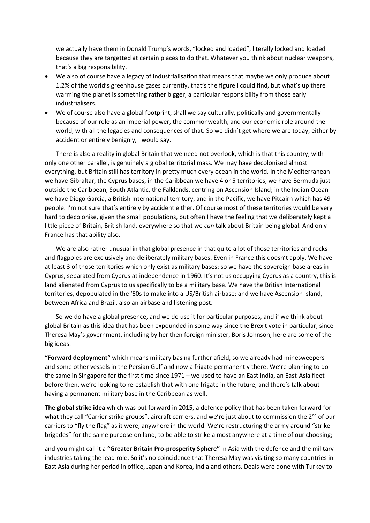we actually have them in Donald Trump's words, "locked and loaded", literally locked and loaded because they are targetted at certain places to do that. Whatever you think about nuclear weapons, that's a big responsibility.

- We also of course have a legacy of industrialisation that means that maybe we only produce about 1.2% of the world's greenhouse gases currently, that's the figure I could find, but what's up there warming the planet is something rather bigger, a particular responsibility from those early industrialisers.
- We of course also have a global footprint, shall we say culturally, politically and governmentally because of our role as an imperial power, the commonwealth, and our economic role around the world, with all the legacies and consequences of that. So we didn't get where we are today, either by accident or entirely benignly, I would say.

There is also a reality in global Britain that we need not overlook, which is that this country, with only one other parallel, is genuinely a global territorial mass. We may have decolonised almost everything, but Britain still has territory in pretty much every ocean in the world. In the Mediterranean we have Gibraltar, the Cyprus bases, in the Caribbean we have 4 or 5 territories, we have Bermuda just outside the Caribbean, South Atlantic, the Falklands, centring on Ascension Island; in the Indian Ocean we have Diego Garcia, a British International territory, and in the Pacific, we have Pitcairn which has 49 people. I'm not sure that's entirely by accident either. Of course most of these territories would be very hard to decolonise, given the small populations, but often I have the feeling that we deliberately kept a little piece of Britain, British land, everywhere so that we *can* talk about Britain being global. And only France has that ability also.

We are also rather unusual in that global presence in that quite a lot of those territories and rocks and flagpoles are exclusively and deliberately military bases. Even in France this doesn't apply. We have at least 3 of those territories which only exist as military bases: so we have the sovereign base areas in Cyprus, separated from Cyprus at independence in 1960. It's not us occupying Cyprus as a country, this is land alienated from Cyprus to us specifically to be a military base. We have the British International territories, depopulated in the '60s to make into a US/British airbase; and we have Ascension Island, between Africa and Brazil, also an airbase and listening post.

So we do have a global presence, and we do use it for particular purposes, and if we think about global Britain as this idea that has been expounded in some way since the Brexit vote in particular, since Theresa May's government, including by her then foreign minister, Boris Johnson, here are some of the big ideas:

**"Forward deployment"** which means military basing further afield, so we already had minesweepers and some other vessels in the Persian Gulf and now a frigate permanently there. We're planning to do the same in Singapore for the first time since 1971 – we used to have an East India, an East-Asia fleet before then, we're looking to re-establish that with one frigate in the future, and there's talk about having a permanent military base in the Caribbean as well.

**The global strike idea** which was put forward in 2015, a defence policy that has been taken forward for what they call "Carrier strike groups", aircraft carriers, and we're just about to commission the  $2^{nd}$  of our carriers to "fly the flag" as it were, anywhere in the world. We're restructuring the army around "strike brigades" for the same purpose on land, to be able to strike almost anywhere at a time of our choosing;

and you might call it a **"Greater Britain Pro-prosperity Sphere"** in Asia with the defence and the military industries taking the lead role. So it's no coincidence that Theresa May was visiting so many countries in East Asia during her period in office, Japan and Korea, India and others. Deals were done with Turkey to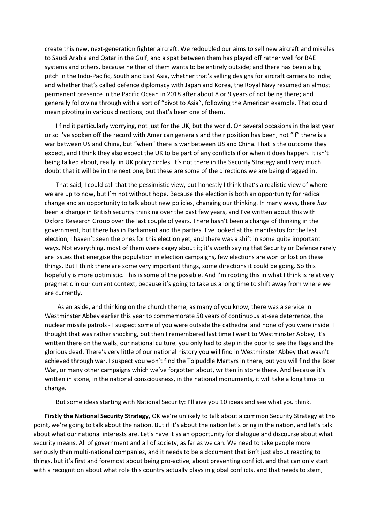create this new, next-generation fighter aircraft. We redoubled our aims to sell new aircraft and missiles to Saudi Arabia and Qatar in the Gulf, and a spat between them has played off rather well for BAE systems and others, because neither of them wants to be entirely outside; and there has been a big pitch in the Indo-Pacific, South and East Asia, whether that's selling designs for aircraft carriers to India; and whether that's called defence diplomacy with Japan and Korea, the Royal Navy resumed an almost permanent presence in the Pacific Ocean in 2018 after about 8 or 9 years of not being there; and generally following through with a sort of "pivot to Asia", following the American example. That could mean pivoting in various directions, but that's been one of them.

I find it particularly worrying, not just for the UK, but the world. On several occasions in the last year or so I've spoken off the record with American generals and their position has been, not "if" there is a war between US and China, but "when" there is war between US and China. That is the outcome they expect, and I think they also expect the UK to be part of any conflicts if or when it does happen. It isn't being talked about, really, in UK policy circles, it's not there in the Security Strategy and I very much doubt that it will be in the next one, but these are some of the directions we are being dragged in.

That said, I could call that the pessimistic view, but honestly I think that's a realistic view of where we are up to now, but I'm not without hope. Because the election is both an opportunity for radical change and an opportunity to talk about new policies, changing our thinking. In many ways, there *has*  been a change in British security thinking over the past few years, and I've written about this with Oxford Research Group over the last couple of years. There hasn't been a change of thinking in the government, but there has in Parliament and the parties. I've looked at the manifestos for the last election, I haven't seen the ones for this election yet, and there was a shift in some quite important ways. Not everything, most of them were cagey about it; it's worth saying that Security or Defence rarely are issues that energise the population in election campaigns, few elections are won or lost on these things. But I think there are some very important things, some directions it could be going. So this hopefully is more optimistic. This is some of the possible. And I'm rooting this in what I think is relatively pragmatic in our current context, because it's going to take us a long time to shift away from where we are currently.

As an aside, and thinking on the church theme, as many of you know, there was a service in Westminster Abbey earlier this year to commemorate 50 years of continuous at-sea deterrence, the nuclear missile patrols - I suspect some of you were outside the cathedral and none of you were inside. I thought that was rather shocking, but then I remembered last time I went to Westminster Abbey, it's written there on the walls, our national culture, you only had to step in the door to see the flags and the glorious dead. There's very little of our national history you will find in Westminster Abbey that wasn't achieved through war. I suspect you won't find the Tolpuddle Martyrs in there, but you will find the Boer War, or many other campaigns which we've forgotten about, written in stone there. And because it's written in stone, in the national consciousness, in the national monuments, it will take a long time to change.

But some ideas starting with National Security: I'll give you 10 ideas and see what you think.

**Firstly the National Security Strategy,** OK we're unlikely to talk about a common Security Strategy at this point, we're going to talk about the nation. But if it's about the nation let's bring in the nation, and let's talk about what our national interests are. Let's have it as an opportunity for dialogue and discourse about what security means. All of government and all of society, as far as we can. We need to take people more seriously than multi-national companies, and it needs to be a document that isn't just about reacting to things, but it's first and foremost about being pro-active, about preventing conflict, and that can only start with a recognition about what role this country actually plays in global conflicts, and that needs to stem,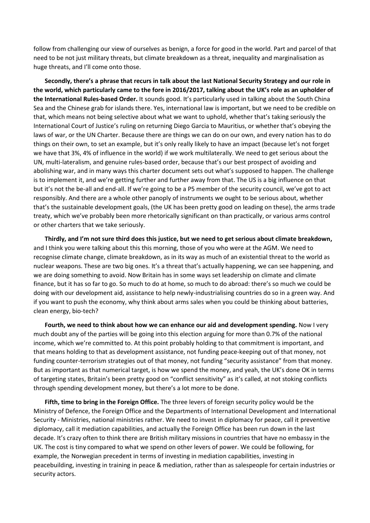follow from challenging our view of ourselves as benign, a force for good in the world. Part and parcel of that need to be not just military threats, but climate breakdown as a threat, inequality and marginalisation as huge threats, and I'll come onto those.

**Secondly, there's a phrase that recurs in talk about the last National Security Strategy and our role in the world, which particularly came to the fore in 2016/2017, talking about the UK's role as an upholder of the International Rules-based Order.** It sounds good. It's particularly used in talking about the South China Sea and the Chinese grab for islands there. Yes, international law is important, but we need to be credible on that, which means not being selective about what we want to uphold, whether that's taking seriously the International Court of Justice's ruling on returning Diego Garcia to Mauritius, or whether that's obeying the laws of war, or the UN Charter. Because there are things we can do on our own, and every nation has to do things on their own, to set an example, but it's only really likely to have an impact (because let's not forget we have that 3%, 4% of influence in the world) if we work multilaterally. We need to get serious about the UN, multi-lateralism, and genuine rules-based order, because that's our best prospect of avoiding and abolishing war, and in many ways this charter document sets out what's supposed to happen. The challenge is to implement it, and we're getting further and further away from that. The US is a big influence on that but it's not the be-all and end-all. If we're going to be a P5 member of the security council, we've got to act responsibly. And there are a whole other panoply of instruments we ought to be serious about, whether that's the sustainable development goals, (the UK has been pretty good on leading on these), the arms trade treaty, which we've probably been more rhetorically significant on than practically, or various arms control or other charters that we take seriously.

**Thirdly, and I'm not sure third does this justice, but we need to get serious about climate breakdown,** and I think you were talking about this this morning, those of you who were at the AGM. We need to recognise climate change, climate breakdown, as in its way as much of an existential threat to the world as nuclear weapons. These are two big ones. It's a threat that's actually happening, we can see happening, and we are doing something to avoid. Now Britain has in some ways set leadership on climate and climate finance, but it has so far to go. So much to do at home, so much to do abroad: there's so much we could be doing with our development aid, assistance to help newly-industrialising countries do so in a green way. And if you want to push the economy, why think about arms sales when you could be thinking about batteries, clean energy, bio-tech?

**Fourth, we need to think about how we can enhance our aid and development spending.** Now I very much doubt any of the parties will be going into this election arguing for more than 0.7% of the national income, which we're committed to. At this point probably holding to that commitment is important, and that means holding to that as development assistance, not funding peace-keeping out of that money, not funding counter-terrorism strategies out of that money, not funding "security assistance" from that money. But as important as that numerical target, is how we spend the money, and yeah, the UK's done OK in terms of targeting states, Britain's been pretty good on "conflict sensitivity" as it's called, at not stoking conflicts through spending development money, but there's a lot more to be done.

**Fifth, time to bring in the Foreign Office.** The three levers of foreign security policy would be the Ministry of Defence, the Foreign Office and the Departments of International Development and International Security - Ministries, national ministries rather. We need to invest in diplomacy for peace, call it preventive diplomacy, call it mediation capabilities, and actually the Foreign Office has been run down in the last decade. It's crazy often to think there are British military missions in countries that have no embassy in the UK. The cost is tiny compared to what we spend on other levers of power. We could be following, for example, the Norwegian precedent in terms of investing in mediation capabilities, investing in peacebuilding, investing in training in peace & mediation, rather than as salespeople for certain industries or security actors.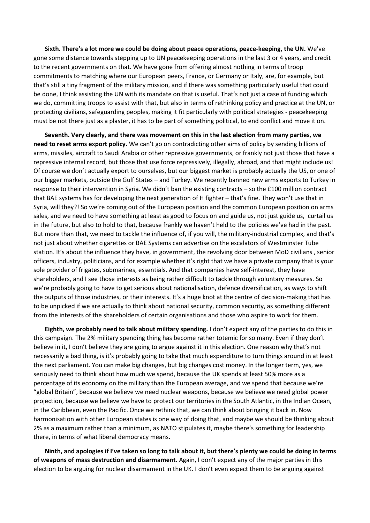**Sixth. There's a lot more we could be doing about peace operations, peace-keeping, the UN.** We've gone some distance towards stepping up to UN peacekeeping operations in the last 3 or 4 years, and credit to the recent governments on that. We have gone from offering almost nothing in terms of troop commitments to matching where our European peers, France, or Germany or Italy, are, for example, but that's still a tiny fragment of the military mission, and if there was something particularly useful that could be done, I think assisting the UN with its mandate on that is useful. That's not just a case of funding which we do, committing troops to assist with that, but also in terms of rethinking policy and practice at the UN, or protecting civilians, safeguarding peoples, making it fit particularly with political strategies - peacekeeping must be not there just as a plaster, it has to be part of something political, to end conflict and move it on.

**Seventh. Very clearly, and there was movement on this in the last election from many parties, we need to reset arms export policy.** We can't go on contradicting other aims of policy by sending billions of arms, missiles, aircraft to Saudi Arabia or other repressive governments, or frankly not just those that have a repressive internal record, but those that use force repressively, illegally, abroad, and that might include us! Of course we don't actually export to ourselves, but our biggest market is probably actually the US, or one of our bigger markets, outside the Gulf States – and Turkey. We recently banned new arms exports to Turkey in response to their intervention in Syria. We didn't ban the existing contracts – so the £100 million contract that BAE systems has for developing the next generation of H fighter – that's fine. They won't use that in Syria, will they?! So we're coming out of the European position and the common European position on arms sales, and we need to have something at least as good to focus on and guide us, not just guide us, curtail us in the future, but also to hold to that, because frankly we haven't held to the policies we've had in the past. But more than that, we need to tackle the influence of, if you will, the military-industrial complex, and that's not just about whether cigarettes or BAE Systems can advertise on the escalators of Westminster Tube station. It's about the influence they have, in government, the revolving door between MoD civilians , senior officers, industry, politicians, and for example whether it's right that we have a private company that is your sole provider of frigates, submarines, essentials. And that companies have self-interest, they have shareholders, and I see those interests as being rather difficult to tackle through voluntary measures. So we're probably going to have to get serious about nationalisation, defence diversification, as ways to shift the outputs of those industries, or their interests. It's a huge knot at the centre of decision-making that has to be unpicked if we are actually to think about national security, common security, as something different from the interests of the shareholders of certain organisations and those who aspire to work for them.

**Eighth, we probably need to talk about military spending.** I don't expect any of the parties to do this in this campaign. The 2% military spending thing has become rather totemic for so many. Even if they don't believe in it, I don't believe they are going to argue against it in this election. One reason why that's not necessarily a bad thing, is it's probably going to take that much expenditure to turn things around in at least the next parliament. You can make big changes, but big changes cost money. In the longer term, yes, we seriously need to think about how much we spend, because the UK spends at least 50% more as a percentage of its economy on the military than the European average, and we spend that because we're "global Britain", because we believe we need nuclear weapons, because we believe we need global power projection, because we believe we have to protect our territories in the South Atlantic, in the Indian Ocean, in the Caribbean, even the Pacific. Once we rethink that, we can think about bringing it back in. Now harmonisation with other European states is one way of doing that, and maybe we should be thinking about 2% as a maximum rather than a minimum, as NATO stipulates it, maybe there's something for leadership there, in terms of what liberal democracy means.

**Ninth, and apologies if I've taken so long to talk about it, but there's plenty we could be doing in terms of weapons of mass destruction and disarmament.** Again, I don't expect any of the major parties in this election to be arguing for nuclear disarmament in the UK. I don't even expect them to be arguing against